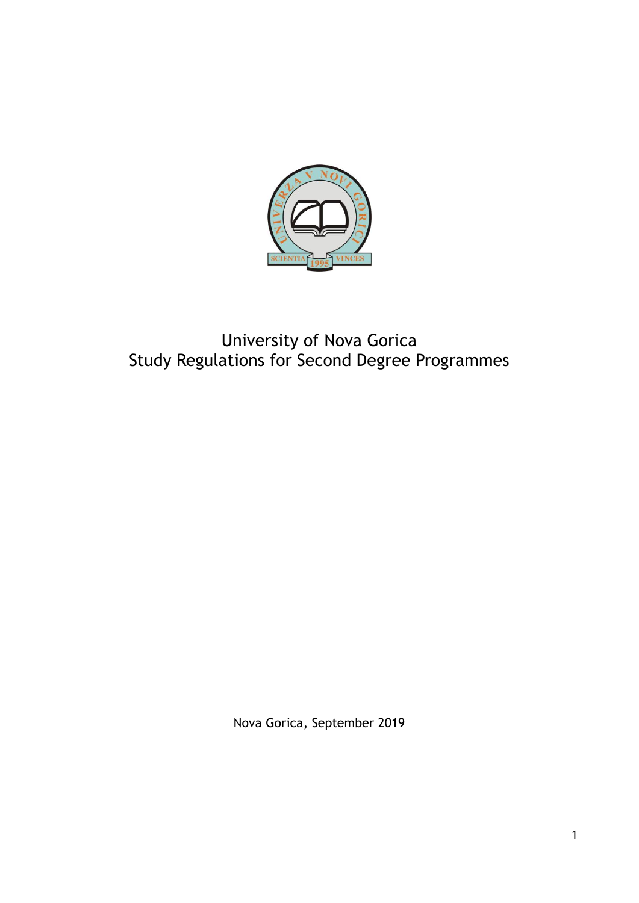

# University of Nova Gorica Study Regulations for Second Degree Programmes

Nova Gorica, September 2019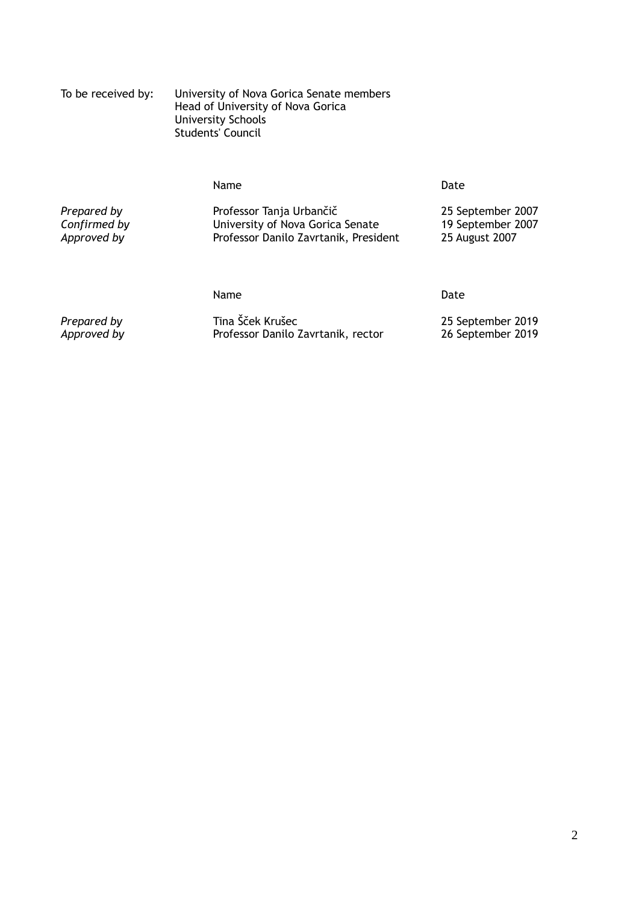| To be received by: | University of Nova Gorica Senate members |
|--------------------|------------------------------------------|
|                    | Head of University of Nova Gorica        |
|                    | University Schools                       |
|                    | Students' Council                        |

## Name Date

Prepared by Professor Tanja Urbančič 25 September 2007<br> *Confirmed by* Dhiversity of Nova Gorica Senate 2007<br> *Approved by* Professor Danilo Zavrtanik, President 25 August 2007 **Confirmed by Confirmed by** University of Nova Gorica Senate<br>Approved by September 2007 Professor Danilo Zavrtanik, Presid **Professor Danilo Zavrtanik, President** 

Name Date

*Prepared by* Tina Šček Krušec 2019<br> *Approved by* Professor Danilo Zavrtanik, rector 26 September 2019 Professor Danilo Zavrtanik, rector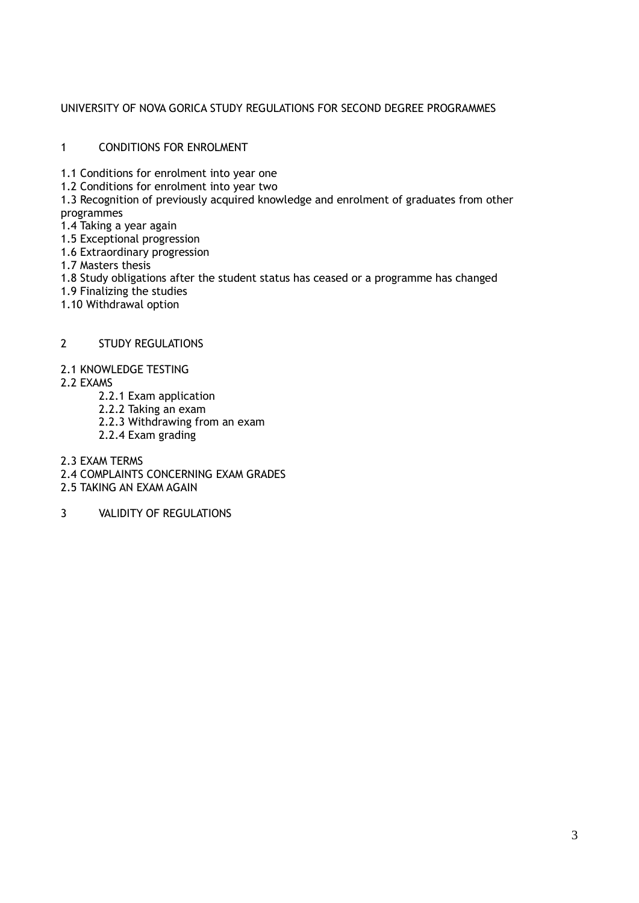# UNIVERSITY OF NOVA GORICA STUDY REGULATIONS FOR SECOND DEGREE PROGRAMMES

## 1 CONDITIONS FOR ENROLMENT

- 1.1 Conditions for enrolment into year one
- 1.2 Conditions for enrolment into year two

1.3 Recognition of previously acquired knowledge and enrolment of graduates from other programmes

- 1.4 Taking a year again
- 1.5 Exceptional progression
- 1.6 Extraordinary progression
- 1.7 Masters thesis
- 1.8 Study obligations after the student status has ceased or a programme has changed
- 1.9 Finalizing the studies
- 1.10 Withdrawal option

# 2 STUDY REGULATIONS

## 2.1 KNOWLEDGE TESTING

- 2.2 EXAMS
	- 2.2.1 Exam application
	- 2.2.2 Taking an exam
	- 2.2.3 Withdrawing from an exam
	- 2.2.4 Exam grading

2.3 EXAM TERMS

- 2.4 COMPLAINTS CONCERNING EXAM GRADES
- 2.5 TAKING AN EXAM AGAIN

3 VALIDITY OF REGULATIONS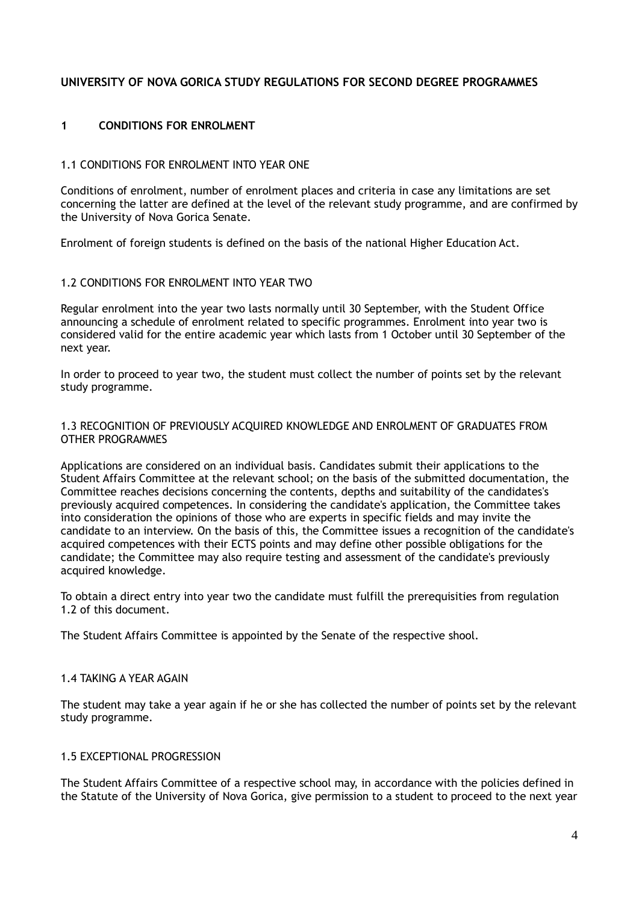# **UNIVERSITY OF NOVA GORICA STUDY REGULATIONS FOR SECOND DEGREE PROGRAMMES**

# **1 CONDITIONS FOR ENROLMENT**

#### 1.1 CONDITIONS FOR ENROLMENT INTO YEAR ONE

Conditions of enrolment, number of enrolment places and criteria in case any limitations are set concerning the latter are defined at the level of the relevant study programme, and are confirmed by the University of Nova Gorica Senate.

Enrolment of foreign students is defined on the basis of the national Higher Education Act.

#### 1.2 CONDITIONS FOR ENROLMENT INTO YEAR TWO

Regular enrolment into the year two lasts normally until 30 September, with the Student Office announcing a schedule of enrolment related to specific programmes. Enrolment into year two is considered valid for the entire academic year which lasts from 1 October until 30 September of the next year.

In order to proceed to year two, the student must collect the number of points set by the relevant study programme.

#### 1.3 RECOGNITION OF PREVIOUSLY ACQUIRED KNOWLEDGE AND ENROLMENT OF GRADUATES FROM OTHER PROGRAMMES

Applications are considered on an individual basis. Candidates submit their applications to the Student Affairs Committee at the relevant school; on the basis of the submitted documentation, the Committee reaches decisions concerning the contents, depths and suitability of the candidates's previously acquired competences. In considering the candidate's application, the Committee takes into consideration the opinions of those who are experts in specific fields and may invite the candidate to an interview. On the basis of this, the Committee issues a recognition of the candidate's acquired competences with their ECTS points and may define other possible obligations for the candidate; the Committee may also require testing and assessment of the candidate's previously acquired knowledge.

To obtain a direct entry into year two the candidate must fulfill the prerequisities from regulation 1.2 of this document.

The Student Affairs Committee is appointed by the Senate of the respective shool.

#### 1.4 TAKING A YEAR AGAIN

The student may take a year again if he or she has collected the number of points set by the relevant study programme.

## 1.5 EXCEPTIONAL PROGRESSION

The Student Affairs Committee of a respective school may, in accordance with the policies defined in the Statute of the University of Nova Gorica, give permission to a student to proceed to the next year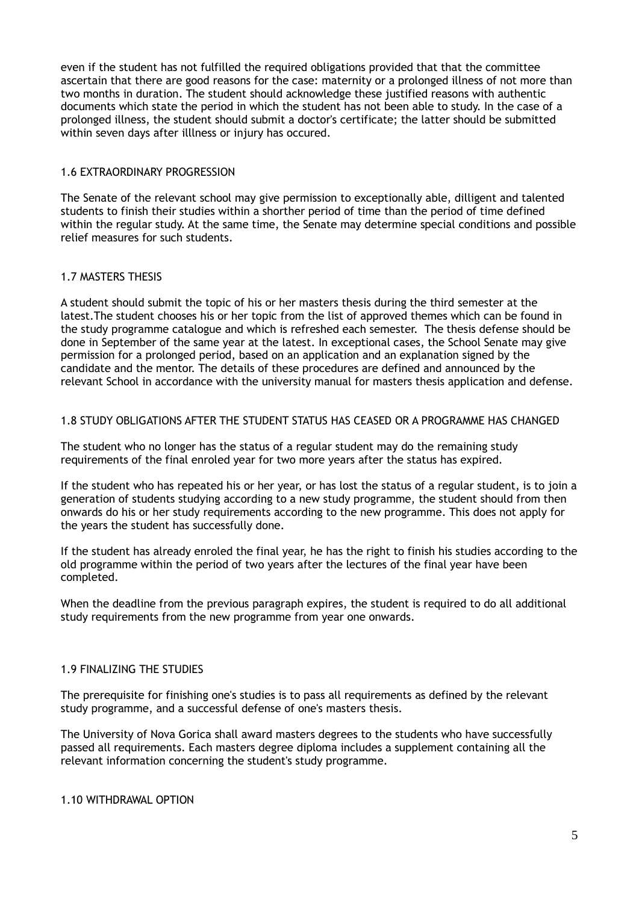even if the student has not fulfilled the required obligations provided that that the committee ascertain that there are good reasons for the case: maternity or a prolonged illness of not more than two months in duration. The student should acknowledge these justified reasons with authentic documents which state the period in which the student has not been able to study. In the case of a prolonged illness, the student should submit a doctor's certificate; the latter should be submitted within seven days after illlness or injury has occured.

## 1.6 EXTRAORDINARY PROGRESSION

The Senate of the relevant school may give permission to exceptionally able, dilligent and talented students to finish their studies within a shorther period of time than the period of time defined within the regular study. At the same time, the Senate may determine special conditions and possible relief measures for such students.

## 1.7 MASTERS THESIS

A student should submit the topic of his or her masters thesis during the third semester at the latest.The student chooses his or her topic from the list of approved themes which can be found in the study programme catalogue and which is refreshed each semester. The thesis defense should be done in September of the same year at the latest. In exceptional cases, the School Senate may give permission for a prolonged period, based on an application and an explanation signed by the candidate and the mentor. The details of these procedures are defined and announced by the relevant School in accordance with the university manual for masters thesis application and defense.

## 1.8 STUDY OBLIGATIONS AFTER THE STUDENT STATUS HAS CEASED OR A PROGRAMME HAS CHANGED

The student who no longer has the status of a regular student may do the remaining study requirements of the final enroled year for two more years after the status has expired.

If the student who has repeated his or her year, or has lost the status of a regular student, is to join a generation of students studying according to a new study programme, the student should from then onwards do his or her study requirements according to the new programme. This does not apply for the years the student has successfully done.

If the student has already enroled the final year, he has the right to finish his studies according to the old programme within the period of two years after the lectures of the final year have been completed.

When the deadline from the previous paragraph expires, the student is required to do all additional study requirements from the new programme from year one onwards.

## 1.9 FINALIZING THE STUDIES

The prerequisite for finishing one's studies is to pass all requirements as defined by the relevant study programme, and a successful defense of one's masters thesis.

The University of Nova Gorica shall award masters degrees to the students who have successfully passed all requirements. Each masters degree diploma includes a supplement containing all the relevant information concerning the student's study programme.

#### 1.10 WITHDRAWAL OPTION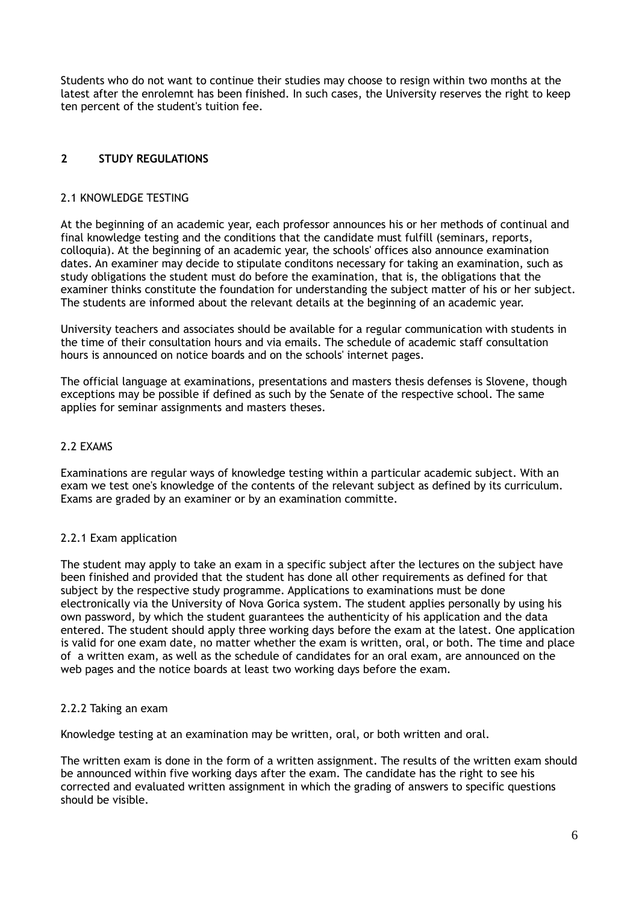Students who do not want to continue their studies may choose to resign within two months at the latest after the enrolemnt has been finished. In such cases, the University reserves the right to keep ten percent of the student's tuition fee.

# **2 STUDY REGULATIONS**

## 2.1 KNOWLEDGE TESTING

At the beginning of an academic year, each professor announces his or her methods of continual and final knowledge testing and the conditions that the candidate must fulfill (seminars, reports, colloquia). At the beginning of an academic year, the schools' offices also announce examination dates. An examiner may decide to stipulate conditons necessary for taking an examination, such as study obligations the student must do before the examination, that is, the obligations that the examiner thinks constitute the foundation for understanding the subject matter of his or her subject. The students are informed about the relevant details at the beginning of an academic year.

University teachers and associates should be available for a regular communication with students in the time of their consultation hours and via emails. The schedule of academic staff consultation hours is announced on notice boards and on the schools' internet pages.

The official language at examinations, presentations and masters thesis defenses is Slovene, though exceptions may be possible if defined as such by the Senate of the respective school. The same applies for seminar assignments and masters theses.

## 2.2 EXAMS

Examinations are regular ways of knowledge testing within a particular academic subject. With an exam we test one's knowledge of the contents of the relevant subject as defined by its curriculum. Exams are graded by an examiner or by an examination committe.

# 2.2.1 Exam application

The student may apply to take an exam in a specific subject after the lectures on the subject have been finished and provided that the student has done all other requirements as defined for that subject by the respective study programme. Applications to examinations must be done electronically via the University of Nova Gorica system. The student applies personally by using his own password, by which the student guarantees the authenticity of his application and the data entered. The student should apply three working days before the exam at the latest. One application is valid for one exam date, no matter whether the exam is written, oral, or both. The time and place of a written exam, as well as the schedule of candidates for an oral exam, are announced on the web pages and the notice boards at least two working days before the exam.

# 2.2.2 Taking an exam

Knowledge testing at an examination may be written, oral, or both written and oral.

The written exam is done in the form of a written assignment. The results of the written exam should be announced within five working days after the exam. The candidate has the right to see his corrected and evaluated written assignment in which the grading of answers to specific questions should be visible.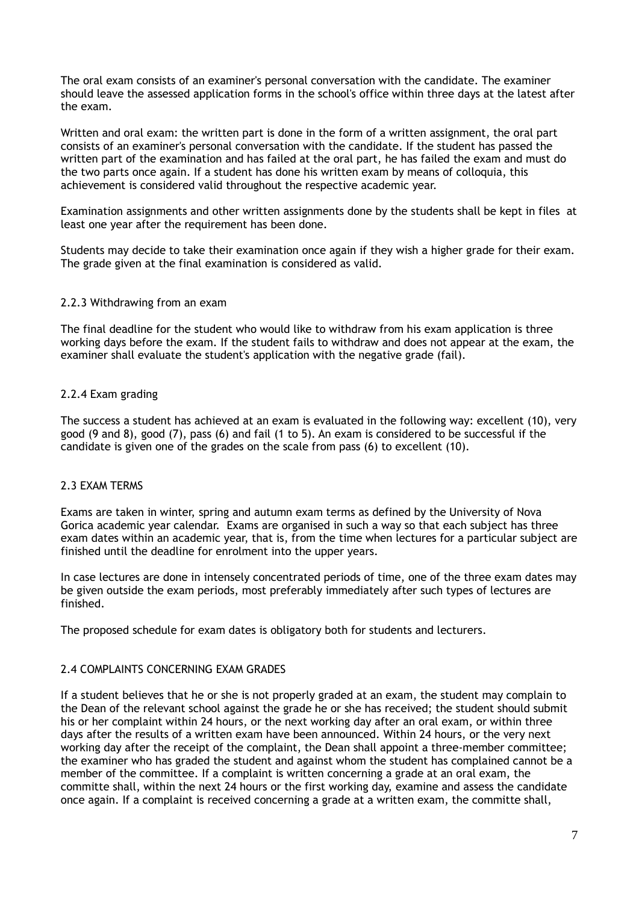The oral exam consists of an examiner's personal conversation with the candidate. The examiner should leave the assessed application forms in the school's office within three days at the latest after the exam.

Written and oral exam: the written part is done in the form of a written assignment, the oral part consists of an examiner's personal conversation with the candidate. If the student has passed the written part of the examination and has failed at the oral part, he has failed the exam and must do the two parts once again. If a student has done his written exam by means of colloquia, this achievement is considered valid throughout the respective academic year.

Examination assignments and other written assignments done by the students shall be kept in files at least one year after the requirement has been done.

Students may decide to take their examination once again if they wish a higher grade for their exam. The grade given at the final examination is considered as valid.

#### 2.2.3 Withdrawing from an exam

The final deadline for the student who would like to withdraw from his exam application is three working days before the exam. If the student fails to withdraw and does not appear at the exam, the examiner shall evaluate the student's application with the negative grade (fail).

#### 2.2.4 Exam grading

The success a student has achieved at an exam is evaluated in the following way: excellent (10), very good (9 and 8), good (7), pass (6) and fail (1 to 5). An exam is considered to be successful if the candidate is given one of the grades on the scale from pass (6) to excellent (10).

#### 2.3 EXAM TERMS

Exams are taken in winter, spring and autumn exam terms as defined by the University of Nova Gorica academic year calendar. Exams are organised in such a way so that each subject has three exam dates within an academic year, that is, from the time when lectures for a particular subject are finished until the deadline for enrolment into the upper years.

In case lectures are done in intensely concentrated periods of time, one of the three exam dates may be given outside the exam periods, most preferably immediately after such types of lectures are finished.

The proposed schedule for exam dates is obligatory both for students and lecturers.

#### 2.4 COMPLAINTS CONCERNING EXAM GRADES

If a student believes that he or she is not properly graded at an exam, the student may complain to the Dean of the relevant school against the grade he or she has received; the student should submit his or her complaint within 24 hours, or the next working day after an oral exam, or within three days after the results of a written exam have been announced. Within 24 hours, or the very next working day after the receipt of the complaint, the Dean shall appoint a three-member committee; the examiner who has graded the student and against whom the student has complained cannot be a member of the committee. If a complaint is written concerning a grade at an oral exam, the committe shall, within the next 24 hours or the first working day, examine and assess the candidate once again. If a complaint is received concerning a grade at a written exam, the committe shall,